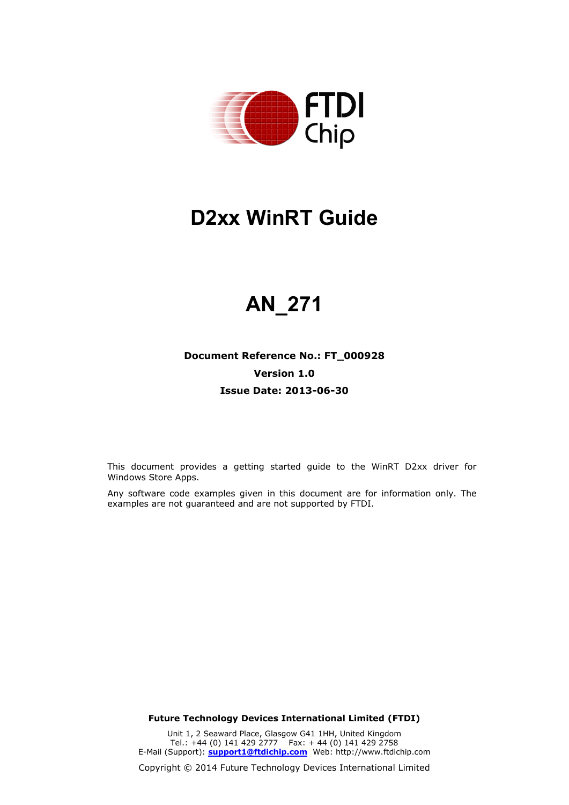

# **D2xx WinRT Guide**

# **AN\_271**

### **Document Reference No.: FT\_000928 Version 1.0 Issue Date: 2013-06-30**

This document provides a getting started guide to the WinRT D2xx driver for Windows Store Apps.

Any software code examples given in this document are for information only. The examples are not guaranteed and are not supported by FTDI.

**Future Technology Devices International Limited (FTDI)**

Unit 1, 2 Seaward Place, Glasgow G41 1HH, United Kingdom Tel.: +44 (0) 141 429 2777 Fax: + 44 (0) 141 429 2758 E-Mail (Support): **[support1@ftdichip.com](mailto:support1@ftdichip.com)** Web: [http://www.ftdichip.com](http://www.ftdichip.com/)

Copyright © 2014 Future Technology Devices International Limited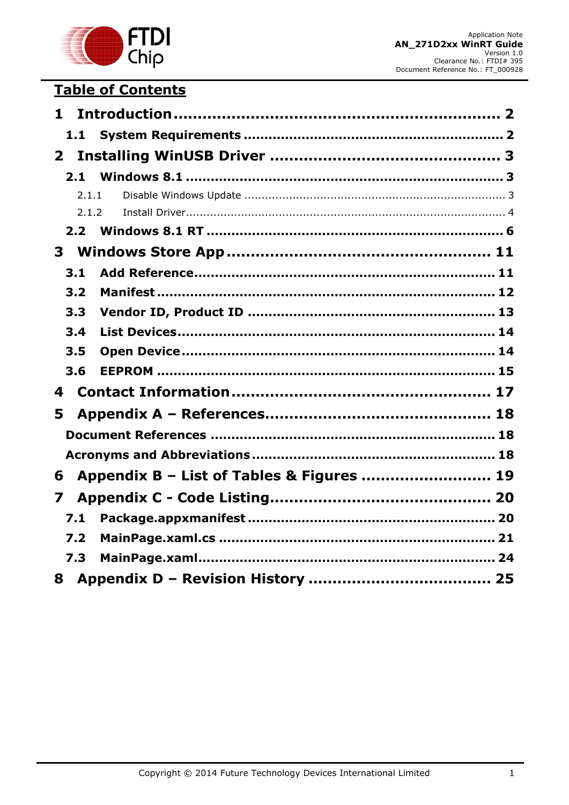

## **Table of Contents**

| $\mathbf{1}$                                   |  |
|------------------------------------------------|--|
|                                                |  |
| $\mathbf{2}$                                   |  |
| 2.1                                            |  |
| 2.1.1                                          |  |
| 2.1.2                                          |  |
| 2.2 <sub>2</sub>                               |  |
|                                                |  |
| 3.1                                            |  |
| 3.2                                            |  |
| 3.3                                            |  |
| 3.4                                            |  |
| 3.5                                            |  |
| 3.6                                            |  |
| 4                                              |  |
| 5                                              |  |
|                                                |  |
|                                                |  |
| Appendix B - List of Tables & Figures  19<br>6 |  |
| 7                                              |  |
| 7.1                                            |  |
| 7.2                                            |  |
| 7.3                                            |  |
|                                                |  |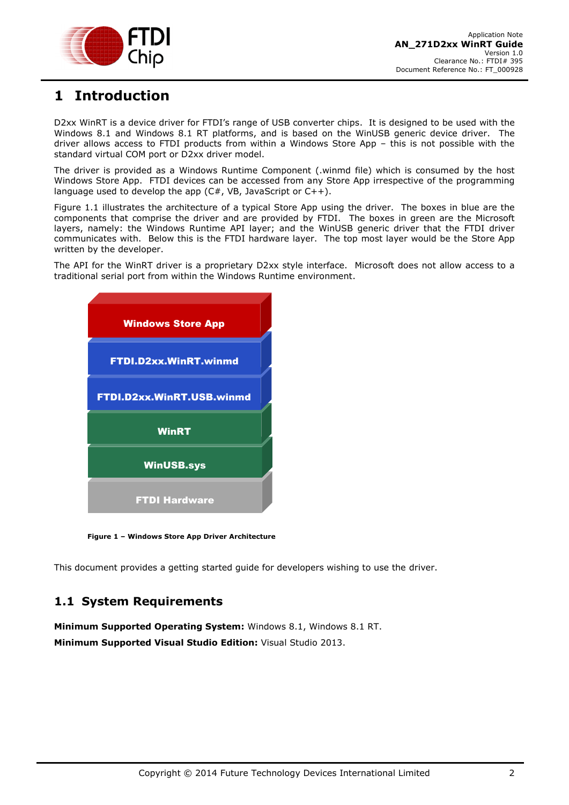

## <span id="page-2-0"></span>**1 Introduction**

D2xx WinRT is a device driver for FTDI's range of USB converter chips. It is designed to be used with the Windows 8.1 and Windows 8.1 RT platforms, and is based on the WinUSB generic device driver. The driver allows access to FTDI products from within a Windows Store App – this is not possible with the standard virtual COM port or D2xx driver model.

The driver is provided as a Windows Runtime Component (.winmd file) which is consumed by the host Windows Store App. FTDI devices can be accessed from any Store App irrespective of the programming language used to develop the app  $(C#$ , VB, JavaScript or  $C++$ ).

Figure 1.1 illustrates the architecture of a typical Store App using the driver. The boxes in blue are the components that comprise the driver and are provided by FTDI. The boxes in green are the Microsoft layers, namely: the Windows Runtime API layer; and the WinUSB generic driver that the FTDI driver communicates with. Below this is the FTDI hardware layer. The top most layer would be the Store App written by the developer.

The API for the WinRT driver is a proprietary D2xx style interface. Microsoft does not allow access to a traditional serial port from within the Windows Runtime environment.



**Figure 1 – Windows Store App Driver Architecture**

This document provides a getting started guide for developers wishing to use the driver.

### <span id="page-2-1"></span>**1.1 System Requirements**

**Minimum Supported Operating System:** Windows 8.1, Windows 8.1 RT. **Minimum Supported Visual Studio Edition:** Visual Studio 2013.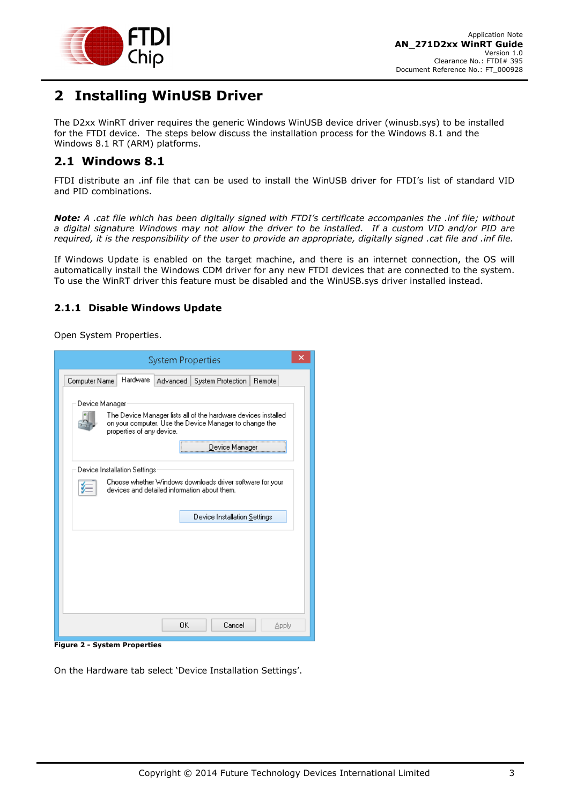

## <span id="page-3-0"></span>**2 Installing WinUSB Driver**

The D2xx WinRT driver requires the generic Windows WinUSB device driver (winusb.sys) to be installed for the FTDI device. The steps below discuss the installation process for the Windows 8.1 and the Windows 8.1 RT (ARM) platforms.

#### <span id="page-3-1"></span>**2.1 Windows 8.1**

FTDI distribute an .inf file that can be used to install the WinUSB driver for FTDI's list of standard VID and PID combinations.

*Note: A .cat file which has been digitally signed with FTDI's certificate accompanies the .inf file; without a digital signature Windows may not allow the driver to be installed. If a custom VID and/or PID are required, it is the responsibility of the user to provide an appropriate, digitally signed .cat file and .inf file.*

If Windows Update is enabled on the target machine, and there is an internet connection, the OS will automatically install the Windows CDM driver for any new FTDI devices that are connected to the system. To use the WinRT driver this feature must be disabled and the WinUSB.sys driver installed instead.

#### <span id="page-3-2"></span>**2.1.1 Disable Windows Update**

Open System Properties.

| <b>System Properties</b>                                                                                                                                                                  |                              |          |                   |        |  |  |
|-------------------------------------------------------------------------------------------------------------------------------------------------------------------------------------------|------------------------------|----------|-------------------|--------|--|--|
| Computer Name                                                                                                                                                                             | <b>Hardware</b>              | Advanced | System Protection | Remote |  |  |
| Device Manager<br>The Device Manager lists all of the hardware devices installed<br>on your computer. Use the Device Manager to change the<br>properties of any device.<br>Device Manager |                              |          |                   |        |  |  |
| Device Installation Settings<br>Choose whether Windows downloads driver software for your<br>devices and detailed information about them.                                                 |                              |          |                   |        |  |  |
|                                                                                                                                                                                           | Device Installation Settings |          |                   |        |  |  |
|                                                                                                                                                                                           |                              |          |                   |        |  |  |
|                                                                                                                                                                                           |                              |          |                   |        |  |  |
|                                                                                                                                                                                           |                              |          |                   |        |  |  |
|                                                                                                                                                                                           |                              | OK       | Cancel            | Apply  |  |  |

<span id="page-3-3"></span>**Figure 2 - System Properties**

On the Hardware tab select 'Device Installation Settings'.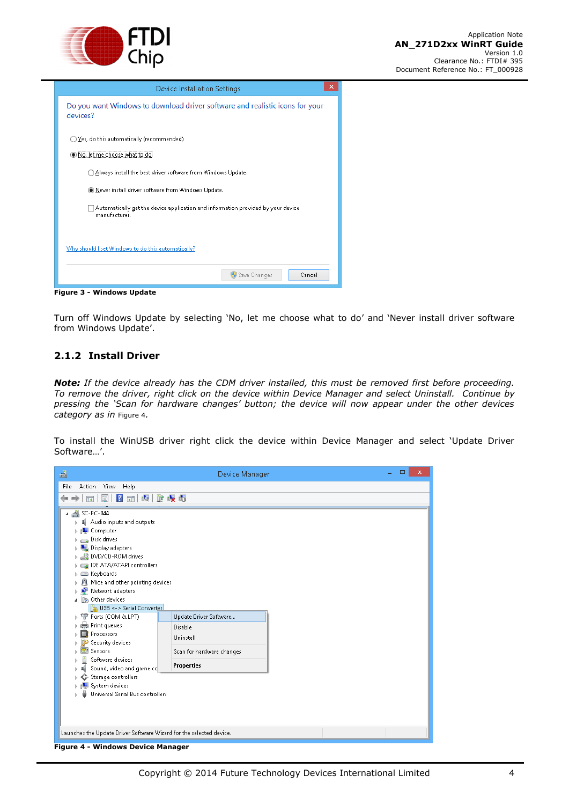

| Device Installation Settings                                                                      | × |
|---------------------------------------------------------------------------------------------------|---|
| Do you want Windows to download driver software and realistic icons for your<br>devices?          |   |
| $\bigcirc$ $\underline{Y}$ es, do this automatically (recommended)                                |   |
| ◉ No, let me choose what to do!                                                                   |   |
| Always install the best driver software from Windows Update.                                      |   |
| Never install driver software from Windows Update.                                                |   |
| Automatically get the device application and information provided by your device<br>manufacturer. |   |
| Why should I set Windows to do this automatically?                                                |   |
| Save Changes<br>Cancel                                                                            |   |
| Elecce O. Miladeco Hadata                                                                         |   |

<span id="page-4-2"></span>**Figure 3 - Windows Update**

Turn off Windows Update by selecting 'No, let me choose what to do' and 'Never install driver software from Windows Update'.

#### <span id="page-4-0"></span>**2.1.2 Install Driver**

*Note: If the device already has the CDM driver installed, this must be removed first before proceeding. To remove the driver, right click on the device within Device Manager and select Uninstall. Continue by pressing the 'Scan for hardware changes' button; the device will now appear under the other devices category as in* [Figure 4](#page-4-1)*.*

To install the WinUSB driver right click the device within Device Manager and select 'Update Driver Software…'.

<span id="page-4-1"></span>

| 크                                                                   | Device Manager            |  | ▭<br>× |  |  |  |  |  |
|---------------------------------------------------------------------|---------------------------|--|--------|--|--|--|--|--|
| File<br>Action View Help                                            |                           |  |        |  |  |  |  |  |
| 2 司 图 价 嗅 喝<br>E<br>⇚<br>譚                                          |                           |  |        |  |  |  |  |  |
| ▲ SC-PC-044<br>◢                                                    |                           |  |        |  |  |  |  |  |
| Audio inputs and outputs                                            |                           |  |        |  |  |  |  |  |
| 1■ Computer                                                         |                           |  |        |  |  |  |  |  |
| Disk drives<br>Þ                                                    |                           |  |        |  |  |  |  |  |
| Display adapters                                                    |                           |  |        |  |  |  |  |  |
| DVD/CD-ROM drives<br>$\triangleright$                               |                           |  |        |  |  |  |  |  |
| DE ATA/ATAPI controllers                                            |                           |  |        |  |  |  |  |  |
| > E Keyboards                                                       |                           |  |        |  |  |  |  |  |
| Mice and other pointing devices<br>Þ                                |                           |  |        |  |  |  |  |  |
| Network adapters<br>ь                                               |                           |  |        |  |  |  |  |  |
| Other devices                                                       |                           |  |        |  |  |  |  |  |
| <b>Do</b> USB <-> Serial Converter                                  |                           |  |        |  |  |  |  |  |
| <b>博 Ports (COM &amp; LPT)</b><br>D.                                | Update Driver Software    |  |        |  |  |  |  |  |
| Print queues<br>Þ                                                   | Disable                   |  |        |  |  |  |  |  |
| Processors                                                          | Uninstall                 |  |        |  |  |  |  |  |
| Security devices                                                    |                           |  |        |  |  |  |  |  |
| <b>Ezil</b> Sensors                                                 | Scan for hardware changes |  |        |  |  |  |  |  |
| Software devices                                                    | <b>Properties</b>         |  |        |  |  |  |  |  |
| Sound, video and game cd                                            |                           |  |        |  |  |  |  |  |
| Storage controllers                                                 |                           |  |        |  |  |  |  |  |
| System devices<br>Þ                                                 |                           |  |        |  |  |  |  |  |
| Universal Serial Bus controllers                                    |                           |  |        |  |  |  |  |  |
|                                                                     |                           |  |        |  |  |  |  |  |
|                                                                     |                           |  |        |  |  |  |  |  |
|                                                                     |                           |  |        |  |  |  |  |  |
| Launches the Update Driver Software Wizard for the selected device. |                           |  |        |  |  |  |  |  |
|                                                                     |                           |  |        |  |  |  |  |  |
| <b>Figure 4 - Windows Device Manager</b>                            |                           |  |        |  |  |  |  |  |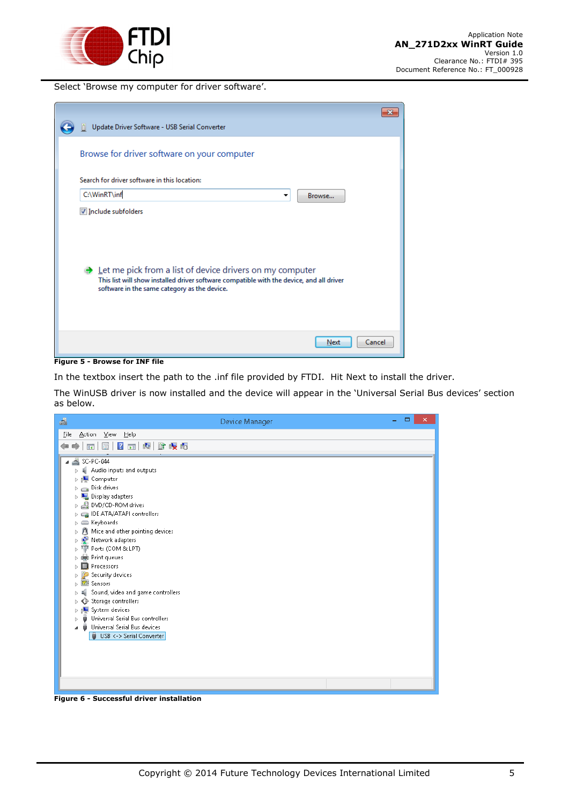

Select 'Browse my computer for driver software'.

| Update Driver Software - USB Serial Converter                                                                                                                                                                                            |  |
|------------------------------------------------------------------------------------------------------------------------------------------------------------------------------------------------------------------------------------------|--|
| Browse for driver software on your computer                                                                                                                                                                                              |  |
| Search for driver software in this location:                                                                                                                                                                                             |  |
| C:\WinRT\inf<br>Browse<br>▼                                                                                                                                                                                                              |  |
| Include subfolders<br>$\rightarrow$ Let me pick from a list of device drivers on my computer<br>This list will show installed driver software compatible with the device, and all driver<br>software in the same category as the device. |  |
| Cancel<br>Next                                                                                                                                                                                                                           |  |

<span id="page-5-0"></span>**Figure 5 - Browse for INF file**

In the textbox insert the path to the .inf file provided by FTDI. Hit Next to install the driver.

The WinUSB driver is now installed and the device will appear in the 'Universal Serial Bus devices' section as below.

<span id="page-5-1"></span>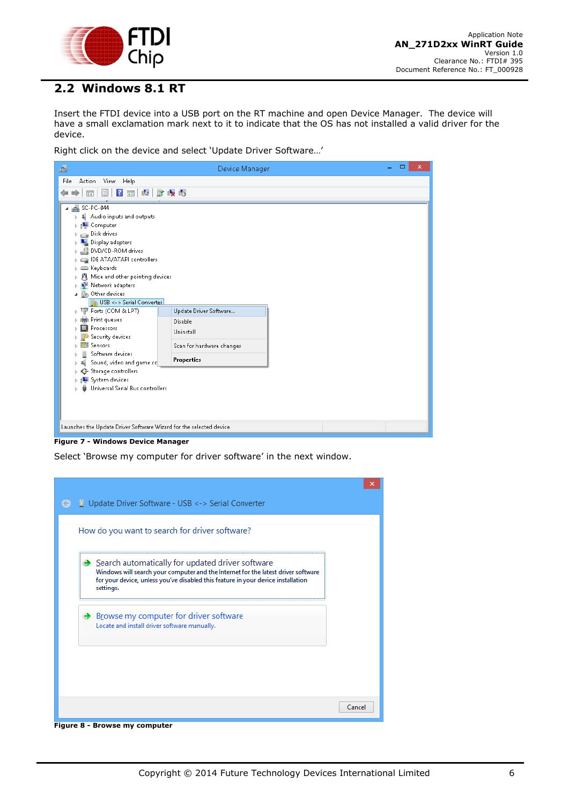

### <span id="page-6-0"></span>**2.2 Windows 8.1 RT**

Insert the FTDI device into a USB port on the RT machine and open Device Manager. The device will have a small exclamation mark next to it to indicate that the OS has not installed a valid driver for the device.

Right click on the device and select 'Update Driver Software…'



**Figure 7 - Windows Device Manager**

<span id="page-6-1"></span>Select 'Browse my computer for driver software' in the next window.

| <b>Update Driver Software - USB &lt;-&gt; Serial Converter</b>                                                                                                                                                                                       |        |
|------------------------------------------------------------------------------------------------------------------------------------------------------------------------------------------------------------------------------------------------------|--------|
| How do you want to search for driver software?                                                                                                                                                                                                       |        |
| $\rightarrow$ Search automatically for updated driver software<br>Windows will search your computer and the Internet for the latest driver software<br>for your device, unless you've disabled this feature in your device installation<br>settings. |        |
| $\rightarrow$ Browse my computer for driver software<br>Locate and install driver software manually.                                                                                                                                                 |        |
|                                                                                                                                                                                                                                                      |        |
|                                                                                                                                                                                                                                                      | Cancel |

<span id="page-6-2"></span>**Figure 8 - Browse my computer**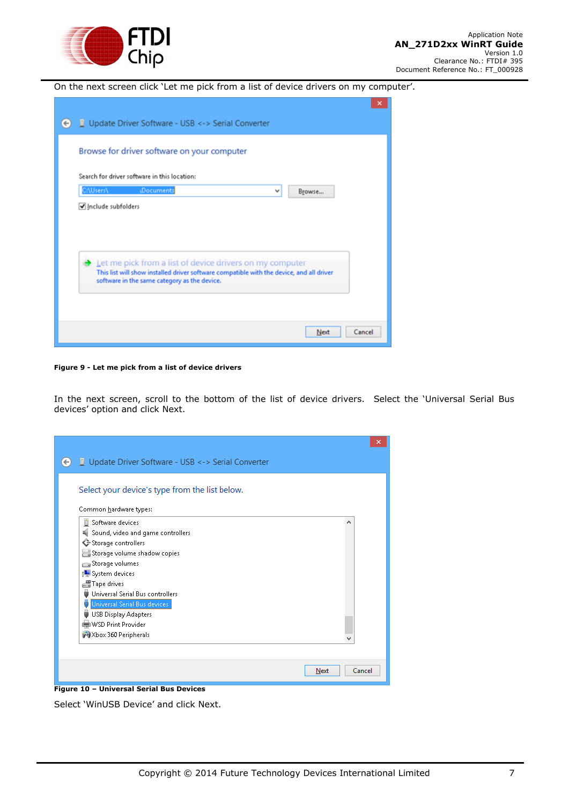

On the next screen click 'Let me pick from a list of device drivers on my computer'.

| Update Driver Software - USB <-> Serial Converter<br>$(\div)$                                                                                        | × |
|------------------------------------------------------------------------------------------------------------------------------------------------------|---|
|                                                                                                                                                      |   |
| Browse for driver software on your computer                                                                                                          |   |
| Search for driver software in this location:                                                                                                         |   |
| C:\Users\<br><b>(Documents</b><br>Browse<br>v                                                                                                        |   |
| Include subfolders                                                                                                                                   |   |
|                                                                                                                                                      |   |
|                                                                                                                                                      |   |
| Let me pick from a list of device drivers on my computer<br>This list will show installed driver software compatible with the device, and all driver |   |
| software in the same category as the device.                                                                                                         |   |
|                                                                                                                                                      |   |
| Cancel<br>Next                                                                                                                                       |   |
|                                                                                                                                                      |   |

<span id="page-7-0"></span>**Figure 9 - Let me pick from a list of device drivers**

In the next screen, scroll to the bottom of the list of device drivers. Select the 'Universal Serial Bus devices' option and click Next.

| Update Driver Software - USB <-> Serial Converter |                |
|---------------------------------------------------|----------------|
| Select your device's type from the list below.    |                |
| Common hardware types:                            |                |
| n<br>Software devices                             |                |
| Sound, video and game controllers                 |                |
| Storage controllers                               |                |
| Storage volume shadow copies                      |                |
| Storage volumes                                   |                |
| System devices                                    |                |
| Tape drives                                       |                |
| Universal Serial Bus controllers<br>ä             |                |
| Universal Serial Bus devices                      |                |
| <b>USB Display Adapters</b><br>۰                  |                |
| WSD Print Provider                                |                |
| Xbox 360 Peripherals                              |                |
|                                                   |                |
|                                                   |                |
|                                                   | Cancel<br>Next |

<span id="page-7-1"></span>Select 'WinUSB Device' and click Next.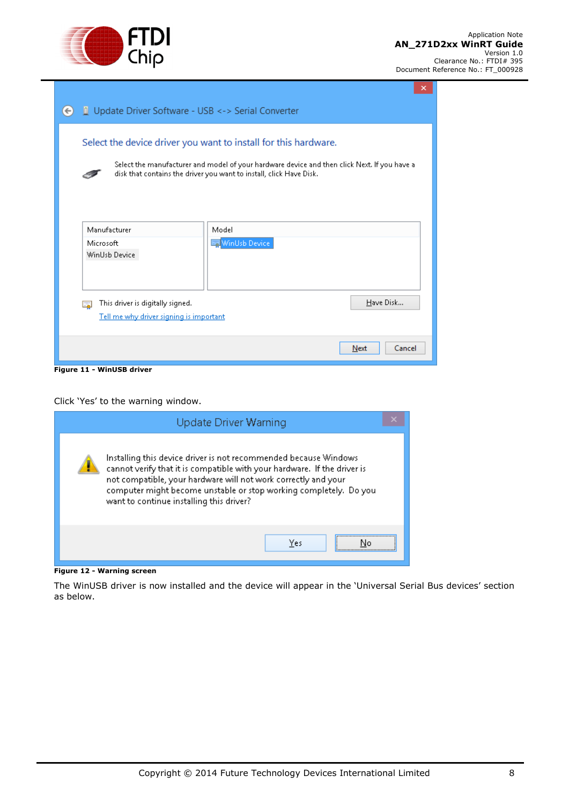

|                                                                             | ×                                                                                                                                                                                                                                      |
|-----------------------------------------------------------------------------|----------------------------------------------------------------------------------------------------------------------------------------------------------------------------------------------------------------------------------------|
| Update Driver Software - USB <-> Serial Converter<br>$\leftarrow$           |                                                                                                                                                                                                                                        |
|                                                                             | Select the device driver you want to install for this hardware.<br>Select the manufacturer and model of your hardware device and then click Next. If you have a<br>disk that contains the driver you want to install, click Have Disk. |
| Manufacturer<br>Microsoft<br>WinUsb Device                                  | Model<br>WinUsb Device                                                                                                                                                                                                                 |
| This driver is digitally signed.<br>Tell me why driver signing is important | Have Disk                                                                                                                                                                                                                              |
|                                                                             | Cancel<br>Next                                                                                                                                                                                                                         |

<span id="page-8-0"></span>**Figure 11 - WinUSB driver**

Click 'Yes' to the warning window.

| Update Driver Warning                                                                                                                                                                                                                                                                                                            |  |
|----------------------------------------------------------------------------------------------------------------------------------------------------------------------------------------------------------------------------------------------------------------------------------------------------------------------------------|--|
| Installing this device driver is not recommended because Windows.<br>cannot verify that it is compatible with your hardware. If the driver is<br>not compatible, your hardware will not work correctly and your<br>computer might become unstable or stop working completely. Do you<br>want to continue installing this driver? |  |
| Yes                                                                                                                                                                                                                                                                                                                              |  |

<span id="page-8-1"></span>**Figure 12 - Warning screen**

The WinUSB driver is now installed and the device will appear in the 'Universal Serial Bus devices' section as below.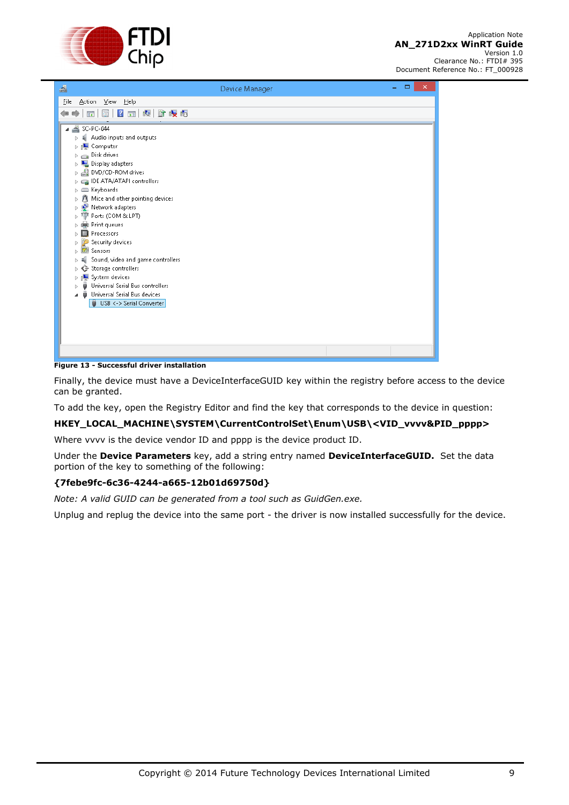

| 횹                                         | Device Manager | ▭<br>× |
|-------------------------------------------|----------------|--------|
| Action View Help<br>Eile                  |                |        |
| 图 7 面 间 胎 吸 幅<br>⇚<br>譚<br>$\Rightarrow$  |                |        |
| $\frac{1}{2}$ SC-PC-044                   |                |        |
| Audio inputs and outputs                  |                |        |
| Gomputer                                  |                |        |
| Disk drives<br>Þ                          |                |        |
| Display adapters<br>$\triangleright$      |                |        |
| DVD/CD-ROM drives<br>$\triangleright$     |                |        |
| DE ATA/ATAPI controllers                  |                |        |
| > E Keyboards                             |                |        |
| л<br>Mice and other pointing devices<br>Þ |                |        |
| a.<br>Network adapters<br>Þ               |                |        |
| Ports (COM & LPT)<br>ਪਾ<br>b              |                |        |
| Print queues<br>ь<br>Processors           |                |        |
| Security devices                          |                |        |
| Sensors<br>571                            |                |        |
| Sound, video and game controllers         |                |        |
| Storage controllers<br>ь                  |                |        |
| System devices<br>Þ                       |                |        |
| Universal Serial Bus controllers          |                |        |
| Universal Serial Bus devices              |                |        |
| USB <- > Serial Converter                 |                |        |
|                                           |                |        |
|                                           |                |        |
|                                           |                |        |
|                                           |                |        |
|                                           |                |        |
|                                           |                |        |

<span id="page-9-0"></span>**Figure 13 - Successful driver installation**

Finally, the device must have a DeviceInterfaceGUID key within the registry before access to the device can be granted.

To add the key, open the Registry Editor and find the key that corresponds to the device in question:

#### **HKEY\_LOCAL\_MACHINE\SYSTEM\CurrentControlSet\Enum\USB\<VID\_vvvv&PID\_pppp>**

Where vvvv is the device vendor ID and pppp is the device product ID.

Under the **Device Parameters** key, add a string entry named **DeviceInterfaceGUID.** Set the data portion of the key to something of the following:

#### **{7febe9fc-6c36-4244-a665-12b01d69750d}**

*Note: A valid GUID can be generated from a tool such as GuidGen.exe.*

Unplug and replug the device into the same port - the driver is now installed successfully for the device.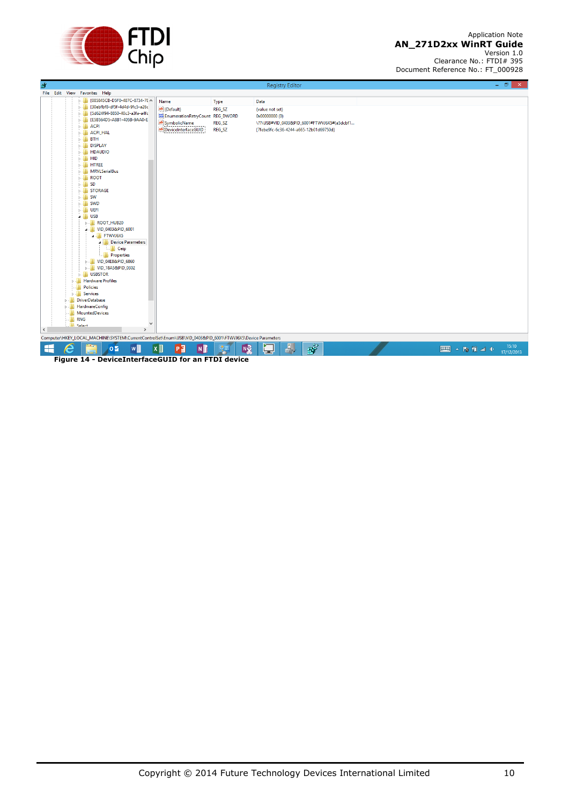

<span id="page-10-0"></span>

| 命         |  |                                                                                                                                                                                                                                                                                                                                                                                                                                                                                                                                                                                                                                                                                                                                                                                                                                                                                                                                                                                                                                                                    |                                                                                                        |                            | <b>Registry Editor</b>                                                      |                                             |  |        | $ \Box$ $\times$ |
|-----------|--|--------------------------------------------------------------------------------------------------------------------------------------------------------------------------------------------------------------------------------------------------------------------------------------------------------------------------------------------------------------------------------------------------------------------------------------------------------------------------------------------------------------------------------------------------------------------------------------------------------------------------------------------------------------------------------------------------------------------------------------------------------------------------------------------------------------------------------------------------------------------------------------------------------------------------------------------------------------------------------------------------------------------------------------------------------------------|--------------------------------------------------------------------------------------------------------|----------------------------|-----------------------------------------------------------------------------|---------------------------------------------|--|--------|------------------|
|           |  | File Edit View Favorites Help                                                                                                                                                                                                                                                                                                                                                                                                                                                                                                                                                                                                                                                                                                                                                                                                                                                                                                                                                                                                                                      |                                                                                                        |                            |                                                                             |                                             |  |        |                  |
|           |  | b - 1 {085845CB-D5F0-487C-8734-78 ^                                                                                                                                                                                                                                                                                                                                                                                                                                                                                                                                                                                                                                                                                                                                                                                                                                                                                                                                                                                                                                | Name                                                                                                   | Type                       | Data                                                                        |                                             |  |        |                  |
| $\langle$ |  | > - 30ebfbf8-df5f-4d4d-9fc5-a26c<br>{5d624f94-8850-40c3-a3fa-a4fc<br>{E5B564D5-A8B1-405B-9AA0-E<br>$\triangleright$ $\cdot$ $\blacksquare$ ACPI<br><b>D-</b> ACPL HAL<br>$\triangleright$ - $\blacksquare$ BTH<br><b>DISPLAY</b><br><b>D-</b> HDAUDIO<br>$\triangleright$ - $\blacksquare$ HID<br>$\triangleright$ - $\blacksquare$ HTREE<br><b>MRVLSerialBus</b><br>$\triangleright$ - $\blacksquare$ ROOT<br>$\triangleright$ - $\blacksquare$ SD<br><b>D-B</b> STORAGE<br>$\triangleright$ - $\blacksquare$ SW<br>$\triangleright$ - $\blacksquare$ SWD<br>$\triangleright$ - $\blacksquare$ UEFI<br>$\blacksquare$ USB<br><b>NOOT_HUB20</b><br>4 - VID_0403&PID_6001<br>$\triangle$ FTWVJ6X5<br><b>A</b> - Device Parameters<br>$\Box$ Ceip<br><b>Properties</b><br><b>NO VID_04E8&amp;PID_6860</b><br><b>D-18A5&amp;PID_0302</b><br><b>D-D</b> USBSTOR<br><b>Hardware Profiles</b><br><b>Policies</b><br><b>D</b> Services<br><b>DriverDatabase</b><br><b>HardwareConfig</b><br>MountedDevices<br><b>No. 1</b> RNG<br>N<br><b>Ill</b> Select<br>$\rightarrow$ | ab (Default)<br><b>RU</b> EnumerationRetryCount REG_DWORD<br>ab SymbolicName<br>ab DeviceInterfaceGUID | REG_SZ<br>REG_SZ<br>REG_SZ | (value not set)<br>0x00000000 (0)<br>{7febe9fc-6c36-4244-a665-12b01d69750d} | \??\USB#VID_0403&PID_6001#FTWVJ6X5#{a5dcbf1 |  |        |                  |
|           |  | Computer\HKEY_LOCAL_MACHINE\SYSTEM\CurrentControlSet\Enum\USB\VID_0403&PID_6001\FTWVJ6X5\Device Parameters                                                                                                                                                                                                                                                                                                                                                                                                                                                                                                                                                                                                                                                                                                                                                                                                                                                                                                                                                         |                                                                                                        |                            |                                                                             |                                             |  |        |                  |
|           |  |                                                                                                                                                                                                                                                                                                                                                                                                                                                                                                                                                                                                                                                                                                                                                                                                                                                                                                                                                                                                                                                                    |                                                                                                        |                            |                                                                             |                                             |  |        | 15:10            |
| ╘╧        |  | w∃<br>$\overline{\mathbf{Q}}$                                                                                                                                                                                                                                                                                                                                                                                                                                                                                                                                                                                                                                                                                                                                                                                                                                                                                                                                                                                                                                      | $x \equiv$<br>$N_1^2$<br>P <sub>3</sub>                                                                | <b>N</b><br>영금             | $\mathbf{A}_p$<br>صكا                                                       | $B^3$                                       |  | ■△防门山中 | 17/12/2013       |
|           |  | Figure 14 - DeviceInterfaceGUID for an FTDI device                                                                                                                                                                                                                                                                                                                                                                                                                                                                                                                                                                                                                                                                                                                                                                                                                                                                                                                                                                                                                 |                                                                                                        |                            |                                                                             |                                             |  |        |                  |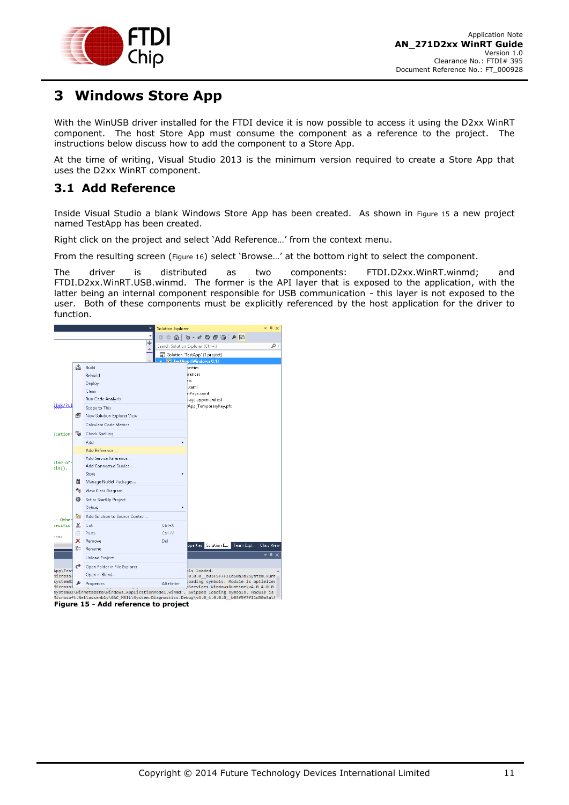

## <span id="page-11-0"></span>**3 Windows Store App**

With the WinUSB driver installed for the FTDI device it is now possible to access it using the D2xx WinRT component. The host Store App must consume the component as a reference to the project. The instructions below discuss how to add the component to a Store App.

At the time of writing, Visual Studio 2013 is the minimum version required to create a Store App that uses the D2xx WinRT component.

### <span id="page-11-1"></span>**3.1 Add Reference**

Inside Visual Studio a blank Windows Store App has been created. As shown in [Figure 15](#page-11-2) a new project named TestApp has been created.

Right click on the project and select 'Add Reference…' from the context menu.

From the resulting screen ([Figure 16](#page-12-1)) select 'Browse…' at the bottom right to select the component.

The driver is distributed as two components: FTDI.D2xx.WinRT.winmd; and FTDI.D2xx.WinRT.USB.winmd. The former is the API layer that is exposed to the application, with the latter being an internal component responsible for USB communication - this layer is not exposed to the user. Both of these components must be explicitly referenced by the host application for the driver to function.



<span id="page-11-2"></span>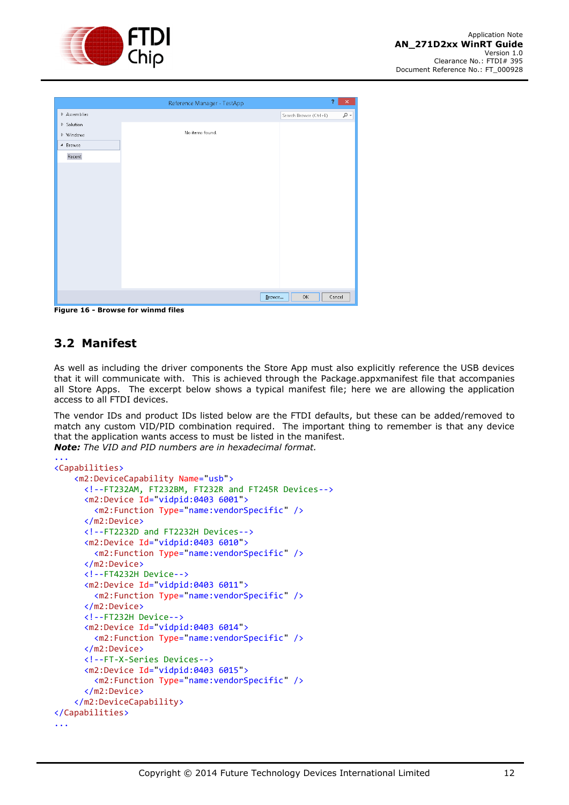

|              | Reference Manager - TestApp | Ÿ.                                                                                                                        | $\mathsf{x}_-$ |
|--------------|-----------------------------|---------------------------------------------------------------------------------------------------------------------------|----------------|
| D Assemblies |                             | Search Browse (Ctrl+E)                                                                                                    | $\sim$         |
| ▷ Solution   |                             |                                                                                                                           |                |
| ▷ Windows    | No items found.             |                                                                                                                           |                |
| ▲ Browse     |                             |                                                                                                                           |                |
| Recent       |                             |                                                                                                                           |                |
|              |                             |                                                                                                                           |                |
|              |                             |                                                                                                                           |                |
|              |                             |                                                                                                                           |                |
|              |                             |                                                                                                                           |                |
|              |                             |                                                                                                                           |                |
|              |                             |                                                                                                                           |                |
|              |                             |                                                                                                                           |                |
|              |                             |                                                                                                                           |                |
|              |                             |                                                                                                                           |                |
|              |                             |                                                                                                                           |                |
|              |                             |                                                                                                                           |                |
|              |                             |                                                                                                                           |                |
|              | Browse                      | Cancel<br>$\mathsf{OK}% _{\mathsf{CL}}^{\mathsf{CL}}(\mathcal{M}_{0})\cong\mathsf{CK}_{0}^{\mathsf{CL}}(\mathcal{M}_{0})$ |                |

<span id="page-12-1"></span>**Figure 16 - Browse for winmd files**

### <span id="page-12-0"></span>**3.2 Manifest**

As well as including the driver components the Store App must also explicitly reference the USB devices that it will communicate with. This is achieved through the Package.appxmanifest file that accompanies all Store Apps. The excerpt below shows a typical manifest file; here we are allowing the application access to all FTDI devices.

The vendor IDs and product IDs listed below are the FTDI defaults, but these can be added/removed to match any custom VID/PID combination required. The important thing to remember is that any device that the application wants access to must be listed in the manifest. *Note: The VID and PID numbers are in hexadecimal format.*

```
...
<Capabilities>
     <m2:DeviceCapability Name="usb">
       <!--FT232AM, FT232BM, FT232R and FT245R Devices-->
       <m2:Device Id="vidpid:0403 6001">
         <m2:Function Type="name:vendorSpecific" />
       </m2:Device>
       <!--FT2232D and FT2232H Devices-->
       <m2:Device Id="vidpid:0403 6010">
         <m2:Function Type="name:vendorSpecific" />
       </m2:Device>
       <!--FT4232H Device-->
       <m2:Device Id="vidpid:0403 6011">
         <m2:Function Type="name:vendorSpecific" />
       </m2:Device>
       <!--FT232H Device-->
       <m2:Device Id="vidpid:0403 6014">
         <m2:Function Type="name:vendorSpecific" />
       </m2:Device>
       <!--FT-X-Series Devices-->
       <m2:Device Id="vidpid:0403 6015">
         <m2:Function Type="name:vendorSpecific" />
       </m2:Device>
     </m2:DeviceCapability>
</Capabilities>
...
```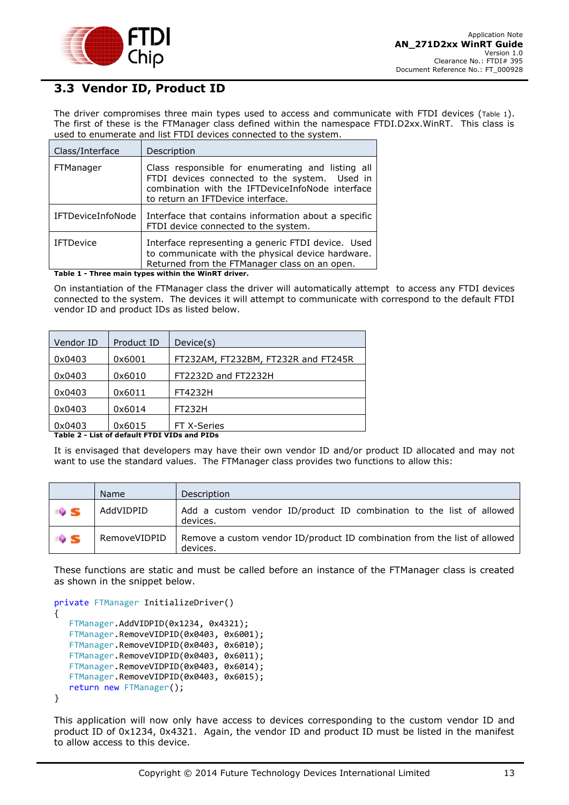

### <span id="page-13-0"></span>**3.3 Vendor ID, Product ID**

The driver compromises three main types used to access and communicate with FTDI devices ([Table 1](#page-13-1)). The first of these is the FTManager class defined within the namespace FTDI.D2xx.WinRT. This class is used to enumerate and list FTDI devices connected to the system.

| Class/Interface          | Description                                                                                                                                                                                 |
|--------------------------|---------------------------------------------------------------------------------------------------------------------------------------------------------------------------------------------|
| FTManager                | Class responsible for enumerating and listing all<br>FTDI devices connected to the system. Used in<br>combination with the IFTDeviceInfoNode interface<br>to return an IFTDevice interface. |
| <b>IFTDeviceInfoNode</b> | Interface that contains information about a specific<br>FTDI device connected to the system.                                                                                                |
| <b>IFTDevice</b>         | Interface representing a generic FTDI device. Used<br>to communicate with the physical device hardware.<br>Returned from the FTManager class on an open.                                    |

<span id="page-13-1"></span>**Table 1 - Three main types within the WinRT driver.**

On instantiation of the FTManager class the driver will automatically attempt to access any FTDI devices connected to the system. The devices it will attempt to communicate with correspond to the default FTDI vendor ID and product IDs as listed below.

| Vendor ID | Product ID | Device(s)                           |
|-----------|------------|-------------------------------------|
| 0x0403    | 0x6001     | FT232AM, FT232BM, FT232R and FT245R |
| 0x0403    | 0x6010     | FT2232D and FT2232H                 |
| 0x0403    | 0x6011     | FT4232H                             |
| 0x0403    | 0x6014     | <b>FT232H</b>                       |
| 0x0403    | 0x6015     | FT X-Series                         |

<span id="page-13-2"></span>**Table 2 - List of default FTDI VIDs and PIDs**

It is envisaged that developers may have their own vendor ID and/or product ID allocated and may not want to use the standard values. The FTManager class provides two functions to allow this:

|               | <b>Name</b>  | Description                                                                           |
|---------------|--------------|---------------------------------------------------------------------------------------|
| $\Rightarrow$ | AddVIDPID    | Add a custom vendor ID/product ID combination to the list of allowed<br>devices.      |
| ≡0 S          | RemoveVIDPID | Remove a custom vendor ID/product ID combination from the list of allowed<br>devices. |

These functions are static and must be called before an instance of the FTManager class is created as shown in the snippet below.

```
private FTManager InitializeDriver()
{
    FTManager.AddVIDPID(0x1234, 0x4321);
    FTManager.RemoveVIDPID(0x0403, 0x6001);
    FTManager.RemoveVIDPID(0x0403, 0x6010);
    FTManager.RemoveVIDPID(0x0403, 0x6011);
    FTManager.RemoveVIDPID(0x0403, 0x6014);
    FTManager.RemoveVIDPID(0x0403, 0x6015);
    return new FTManager();
}
```
This application will now only have access to devices corresponding to the custom vendor ID and product ID of 0x1234, 0x4321. Again, the vendor ID and product ID must be listed in the manifest to allow access to this device.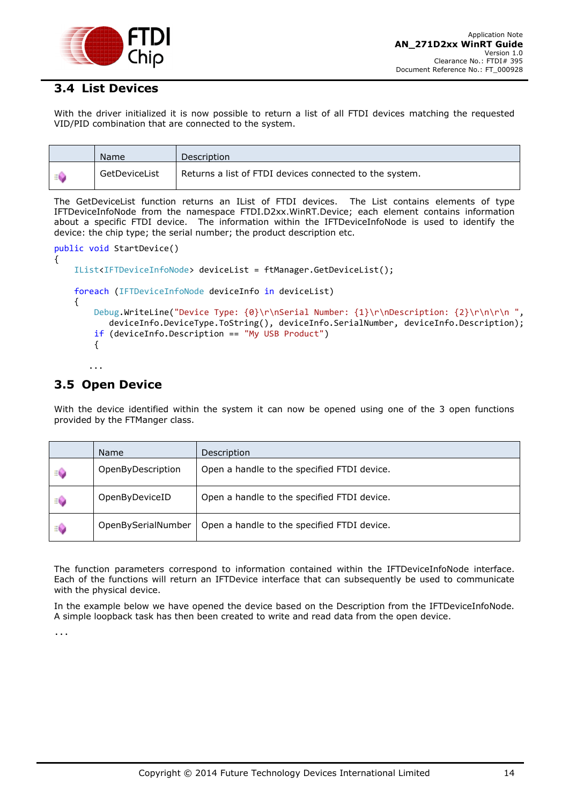

### <span id="page-14-0"></span>**3.4 List Devices**

With the driver initialized it is now possible to return a list of all FTDI devices matching the requested VID/PID combination that are connected to the system.

|    | Name          | Description                                             |
|----|---------------|---------------------------------------------------------|
| -4 | GetDeviceList | Returns a list of FTDI devices connected to the system. |

The GetDeviceList function returns an IList of FTDI devices. The List contains elements of type IFTDeviceInfoNode from the namespace FTDI.D2xx.WinRT.Device; each element contains information about a specific FTDI device. The information within the IFTDeviceInfoNode is used to identify the device: the chip type; the serial number; the product description etc.

```
public void StartDevice()
{
     IList<IFTDeviceInfoNode> deviceList = ftManager.GetDeviceList();
     foreach (IFTDeviceInfoNode deviceInfo in deviceList)
     {
         Debug.WriteLine("Device Type: {0}\r\nSerial Number: {1}\r\nDescription: {2}\r\n\r\n ",
            deviceInfo.DeviceType.ToString(), deviceInfo.SerialNumber, deviceInfo.Description);
         if (deviceInfo.Description == "My USB Product")
         {
```
### <span id="page-14-1"></span>**3.5 Open Device**

...

With the device identified within the system it can now be opened using one of the 3 open functions provided by the FTManger class.

|    | Name               | Description                                 |
|----|--------------------|---------------------------------------------|
| ≍© | OpenByDescription  | Open a handle to the specified FTDI device. |
| ≍© | OpenByDeviceID     | Open a handle to the specified FTDI device. |
| ⊧© | OpenBySerialNumber | Open a handle to the specified FTDI device. |

The function parameters correspond to information contained within the IFTDeviceInfoNode interface. Each of the functions will return an IFTDevice interface that can subsequently be used to communicate with the physical device.

In the example below we have opened the device based on the Description from the IFTDeviceInfoNode. A simple loopback task has then been created to write and read data from the open device.

...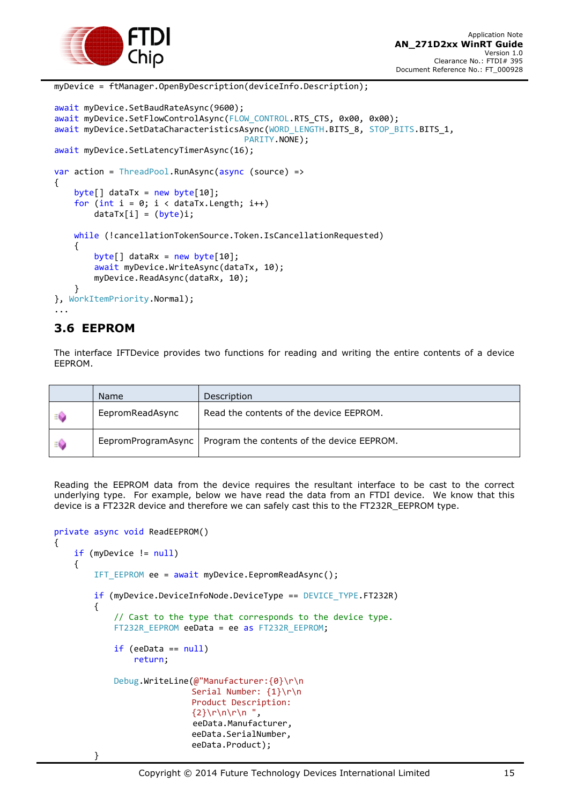

```
await myDevice.SetBaudRateAsync(9600);
await myDevice.SetFlowControlAsync(FLOW CONTROL.RTS CTS, 0x00, 0x00);
await myDevice.SetDataCharacteristicsAsync(WORD_LENGTH.BITS_8, STOP_BITS.BITS_1,
                                       PARITY.NONE); 
await myDevice.SetLatencyTimerAsync(16);
var action = ThreadPool.RunAsync(async (source) =>
{
    byte[] dataTx = new byte[10];
    for (int i = 0; i < dataTx. Length; i++)dataTx[i] = (byte)i; while (!cancellationTokenSource.Token.IsCancellationRequested)
     {
        byte[] dataRx = new byte[10];
         await myDevice.WriteAsync(dataTx, 10);
         myDevice.ReadAsync(dataRx, 10);
 }
}, WorkItemPriority.Normal);
...
```
myDevice = ftManager.OpenByDescription(deviceInfo.Description);

### <span id="page-15-0"></span>**3.6 EEPROM**

The interface IFTDevice provides two functions for reading and writing the entire contents of a device EEPROM.

|    | Name            | Description                                                     |
|----|-----------------|-----------------------------------------------------------------|
| EÔ | EepromReadAsync | Read the contents of the device EEPROM.                         |
| EÔ |                 | EepromProgramAsync   Program the contents of the device EEPROM. |

Reading the EEPROM data from the device requires the resultant interface to be cast to the correct underlying type. For example, below we have read the data from an FTDI device. We know that this device is a FT232R device and therefore we can safely cast this to the FT232R\_EEPROM type.

```
private async void ReadEEPROM()
{
     if (myDevice != null)
     {
         IFT_EEPROM ee = await myDevice.EepromReadAsync();
         if (myDevice.DeviceInfoNode.DeviceType == DEVICE_TYPE.FT232R)
         {
             // Cast to the type that corresponds to the device type.
            FT232R EEPROM eeData = ee as FT232R EEPROM;
            if (eeData == null) return;
             Debug.WriteLine(@"Manufacturer:{0}\r\n
                             Serial Number: {1}\r\n
                             Product Description: 
                             \{2\}\n\ln\ln\ln' eeData.Manufacturer, 
                             eeData.SerialNumber, 
                             eeData.Product);
```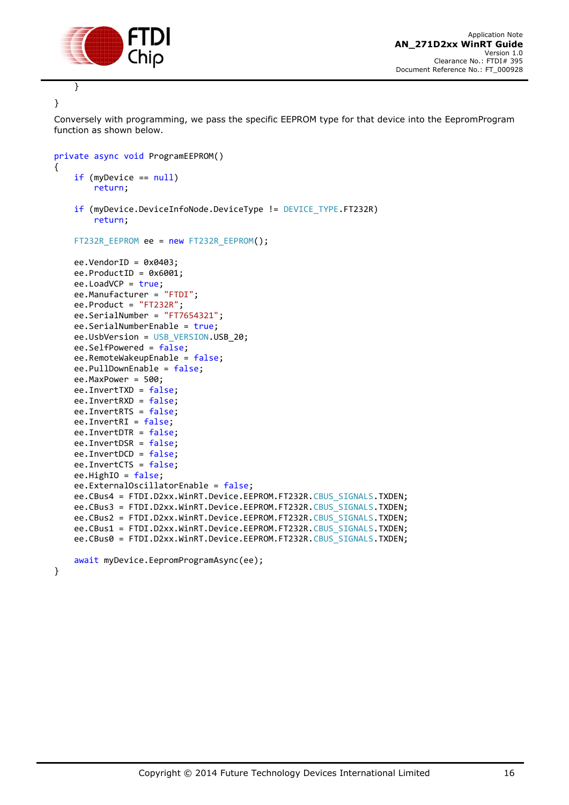

}

{

}

Conversely with programming, we pass the specific EEPROM type for that device into the EepromProgram function as shown below.

```
private async void ProgramEEPROM()
     if (myDevice == null)
         return;
     if (myDevice.DeviceInfoNode.DeviceType != DEVICE_TYPE.FT232R)
         return;
     FT232R_EEPROM ee = new FT232R_EEPROM();
    ee.VendorID = 0x0403;ee.ProductID = 0x6001; ee.LoadVCP = true;
     ee.Manufacturer = "FTDI";
    ee.Product = "FT232R";
     ee.SerialNumber = "FT7654321";
     ee.SerialNumberEnable = true;
     ee.UsbVersion = USB_VERSION.USB_20;
     ee.SelfPowered = false;
     ee.RemoteWakeupEnable = false;
     ee.PullDownEnable = false;
     ee.MaxPower = 500;
     ee.InvertTXD = false;
     ee.InvertRXD = false;
     ee.InvertRTS = false;
     ee.InvertRI = false;
     ee.InvertDTR = false;
     ee.InvertDSR = false;
     ee.InvertDCD = false;
     ee.InvertCTS = false;
     ee.HighIO = false;
     ee.ExternalOscillatorEnable = false;
    ee.CBus4 = FTDI.D2xx.WinRT.Device.EEPROM.FT232R.CBUS SIGNALS.TXDEN;
    ee.CBus3 = FTDI.D2xx.WinRT.Device.EEPROM.FT232R.CBUS SIGNALS.TXDEN;
     ee.CBus2 = FTDI.D2xx.WinRT.Device.EEPROM.FT232R.CBUS_SIGNALS.TXDEN;
     ee.CBus1 = FTDI.D2xx.WinRT.Device.EEPROM.FT232R.CBUS_SIGNALS.TXDEN;
     ee.CBus0 = FTDI.D2xx.WinRT.Device.EEPROM.FT232R.CBUS_SIGNALS.TXDEN;
    await myDevice.EepromProgramAsync(ee);
```
}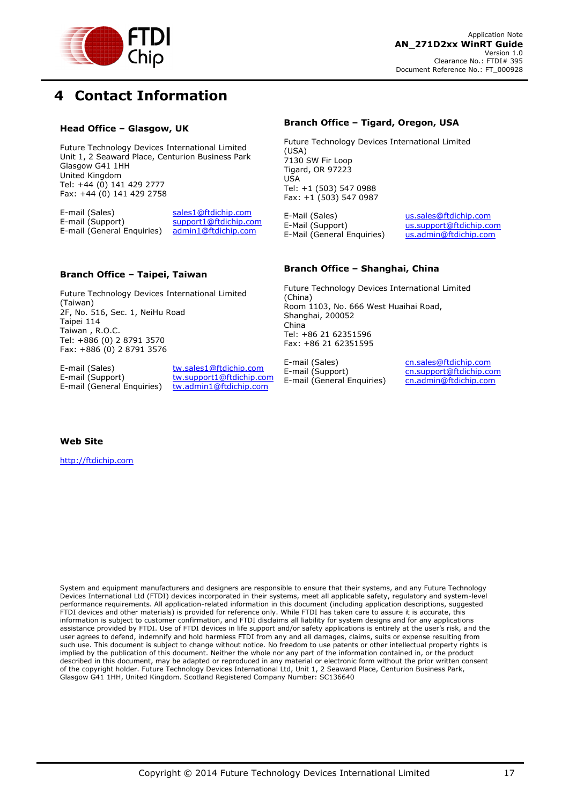

## <span id="page-17-0"></span>**4 Contact Information**

#### **Head Office – Glasgow, UK**

Future Technology Devices International Limited Unit 1, 2 Seaward Place, Centurion Business Park Glasgow G41 1HH United Kingdom Tel: +44 (0) 141 429 2777 Fax: +44 (0) 141 429 2758

E-mail (Sales) sales1@ftdichip.com E-mail (Support) support1@ftdichip.com<br>E-mail (General Enguiries) admin1@ftdichip.com E-mail (General Enquiries)

#### **Branch Office – Tigard, Oregon, USA**

Future Technology Devices International Limited (USA) 7130 SW Fir Loop Tigard, OR 97223 USA Tel: +1 (503) 547 0988 Fax: +1 (503) 547 0987

E-Mail (Sales) us.sales@ftdichip.com<br>E-Mail (Support) us.support@ftdichip.com E-Mail (General Enquiries)

us.support@ftdichip.com<br>us.admin@ftdichip.com

#### **Branch Office – Taipei, Taiwan**

Future Technology Devices International Limited (Taiwan) 2F, No. 516, Sec. 1, NeiHu Road Taipei 114 Taiwan , R.O.C. Tel: +886 (0) 2 8791 3570 Fax: +886 (0) 2 8791 3576

E-mail (General Enquiries)

E-mail (Sales) tw.sales1@ftdichip.com E-mail (Support) tw.support1@ftdichip.com<br>E-mail (General Enguiries) tw.admin1@ftdichip.com

#### **Branch Office – Shanghai, China**

Future Technology Devices International Limited (China) Room 1103, No. 666 West Huaihai Road, Shanghai, 200052 China Tel: +86 21 62351596 Fax: +86 21 62351595

E-mail (Sales) cn.sales@ftdichip.com<br>
E-mail (Support) cn.support@ftdichip.com E-mail (General Enquiries)

cn.support@ftdichip.com<br>cn.admin@ftdichip.com

#### **Web Site**

http://ftdichip.com

System and equipment manufacturers and designers are responsible to ensure that their systems, and any Future Technology Devices International Ltd (FTDI) devices incorporated in their systems, meet all applicable safety, regulatory and system-level performance requirements. All application-related information in this document (including application descriptions, suggested FTDI devices and other materials) is provided for reference only. While FTDI has taken care to assure it is accurate, this information is subject to customer confirmation, and FTDI disclaims all liability for system designs and for any applications assistance provided by FTDI. Use of FTDI devices in life support and/or safety applications is entirely at the user's risk, and the user agrees to defend, indemnify and hold harmless FTDI from any and all damages, claims, suits or expense resulting from such use. This document is subject to change without notice. No freedom to use patents or other intellectual property rights is implied by the publication of this document. Neither the whole nor any part of the information contained in, or the product described in this document, may be adapted or reproduced in any material or electronic form without the prior written consent of the copyright holder. Future Technology Devices International Ltd, Unit 1, 2 Seaward Place, Centurion Business Park, Glasgow G41 1HH, United Kingdom. Scotland Registered Company Number: SC136640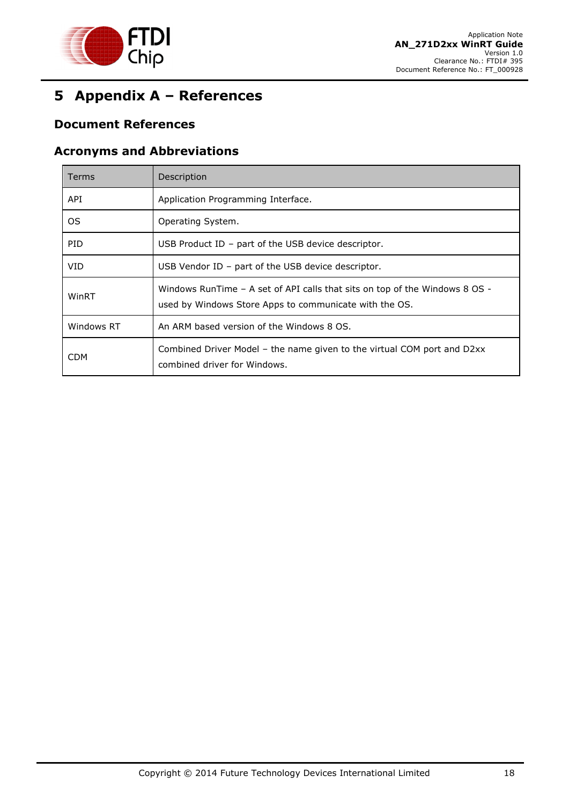

## <span id="page-18-0"></span>**5 Appendix A – References**

### <span id="page-18-1"></span>**Document References**

#### <span id="page-18-2"></span>**Acronyms and Abbreviations**

| <b>Terms</b> | Description                                                                                                                               |
|--------------|-------------------------------------------------------------------------------------------------------------------------------------------|
| API          | Application Programming Interface.                                                                                                        |
| OS.          | Operating System.                                                                                                                         |
| <b>PID</b>   | USB Product $ID - part$ of the USB device descriptor.                                                                                     |
| VID          | USB Vendor ID - part of the USB device descriptor.                                                                                        |
| WinRT        | Windows RunTime $-$ A set of API calls that sits on top of the Windows 8 OS $-$<br>used by Windows Store Apps to communicate with the OS. |
| Windows RT   | An ARM based version of the Windows 8 OS.                                                                                                 |
| <b>CDM</b>   | Combined Driver Model – the name given to the virtual COM port and D2xx<br>combined driver for Windows.                                   |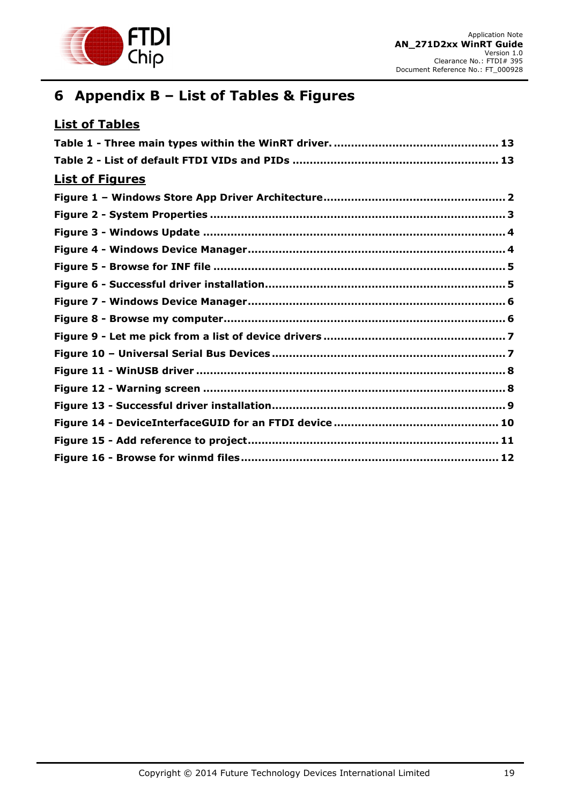

## <span id="page-19-0"></span>**6 Appendix B – List of Tables & Figures**

| <b>List of Tables</b>  |
|------------------------|
|                        |
|                        |
| <b>List of Figures</b> |
|                        |
|                        |
|                        |
|                        |
|                        |
|                        |
|                        |
|                        |
|                        |
|                        |
|                        |
|                        |
|                        |
|                        |
|                        |
|                        |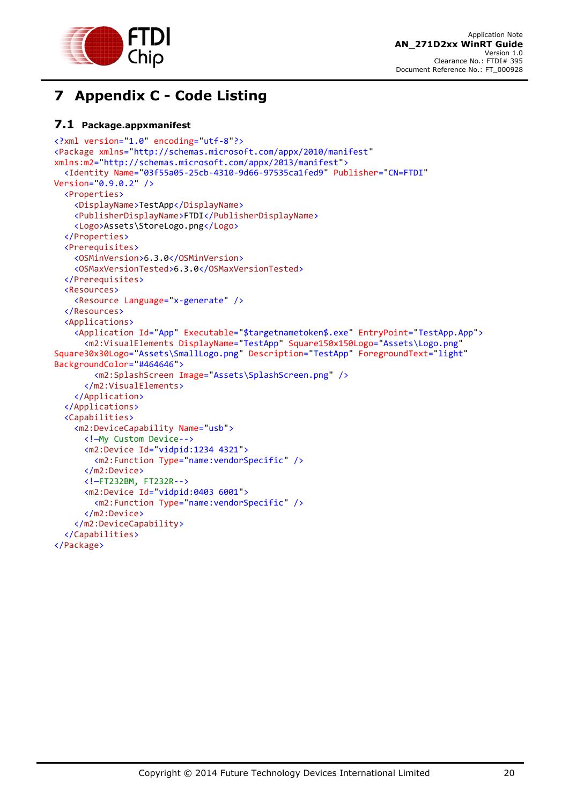

## <span id="page-20-0"></span>**7 Appendix C - Code Listing**

#### <span id="page-20-1"></span>**7.1 Package.appxmanifest**

```
<?xml version="1.0" encoding="utf-8"?>
<Package xmlns="http://schemas.microsoft.com/appx/2010/manifest"
xmlns:m2="http://schemas.microsoft.com/appx/2013/manifest">
   <Identity Name="03f55a05-25cb-4310-9d66-97535ca1fed9" Publisher="CN=FTDI"
Version="0.9.0.2" />
   <Properties>
     <DisplayName>TestApp</DisplayName>
     <PublisherDisplayName>FTDI</PublisherDisplayName>
     <Logo>Assets\StoreLogo.png</Logo>
   </Properties>
   <Prerequisites>
     <OSMinVersion>6.3.0</OSMinVersion>
     <OSMaxVersionTested>6.3.0</OSMaxVersionTested>
   </Prerequisites>
   <Resources>
     <Resource Language="x-generate" />
   </Resources>
   <Applications>
     <Application Id="App" Executable="$targetnametoken$.exe" EntryPoint="TestApp.App">
       <m2:VisualElements DisplayName="TestApp" Square150x150Logo="Assets\Logo.png"
Square30x30Logo="Assets\SmallLogo.png" Description="TestApp" ForegroundText="light"
BackgroundColor="#464646">
         <m2:SplashScreen Image="Assets\SplashScreen.png" />
       </m2:VisualElements>
     </Application>
   </Applications>
   <Capabilities>
     <m2:DeviceCapability Name="usb">
       <!—My Custom Device-->
       <m2:Device Id="vidpid:1234 4321">
         <m2:Function Type="name:vendorSpecific" />
       </m2:Device>
       <!—FT232BM, FT232R-->
       <m2:Device Id="vidpid:0403 6001">
         <m2:Function Type="name:vendorSpecific" />
       </m2:Device>
     </m2:DeviceCapability>
   </Capabilities>
</Package>
```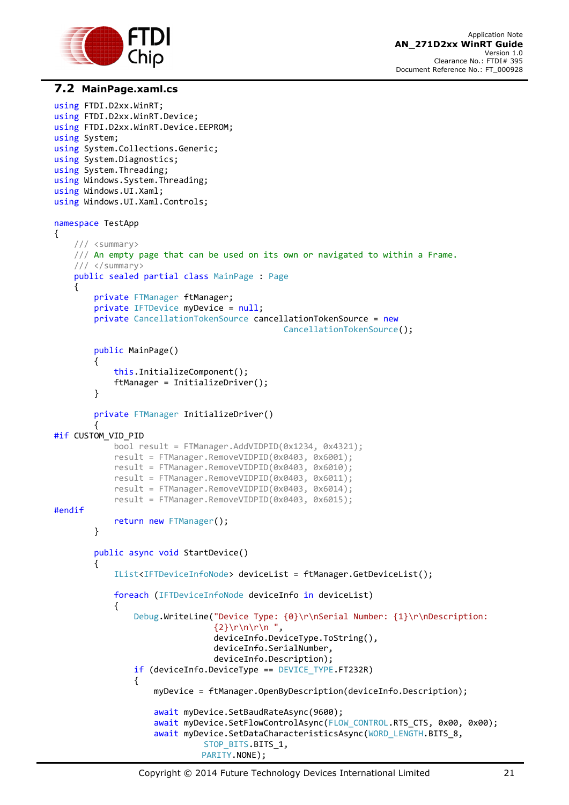

#### <span id="page-21-0"></span>**7.2 MainPage.xaml.cs**

```
using FTDI.D2xx.WinRT;
using FTDI.D2xx.WinRT.Device;
using FTDI.D2xx.WinRT.Device.EEPROM;
using System;
using System.Collections.Generic;
using System.Diagnostics;
using System.Threading;
using Windows.System.Threading;
using Windows.UI.Xaml;
using Windows.UI.Xaml.Controls;
namespace TestApp
{
      /// <summary>
      /// An empty page that can be used on its own or navigated to within a Frame.
      /// </summary>
      public sealed partial class MainPage : Page
      {
          private FTManager ftManager;
          private IFTDevice myDevice = null;
          private CancellationTokenSource cancellationTokenSource = new
                                                        CancellationTokenSource();
          public MainPage()
          {
               this.InitializeComponent();
               ftManager = InitializeDriver();
          }
          private FTManager InitializeDriver()
\overline{\mathcal{L}}#if CUSTOM_VID_PID
               bool result = FTManager.AddVIDPID(0x1234, 0x4321);
               result = FTManager.RemoveVIDPID(0x0403, 0x6001);
               result = FTManager.RemoveVIDPID(0x0403, 0x6010);
               result = FTManager.RemoveVIDPID(0x0403, 0x6011);
               result = FTManager.RemoveVIDPID(0x0403, 0x6014);
               result = FTManager.RemoveVIDPID(0x0403, 0x6015);
#endif
               return new FTManager();
          }
          public async void StartDevice()
\overline{\mathcal{L}} IList<IFTDeviceInfoNode> deviceList = ftManager.GetDeviceList();
               foreach (IFTDeviceInfoNode deviceInfo in deviceList)
\{Debug.WriteLine("Device Type: {0}\r\nSerial Number: {1}\r\nDescription:
                                       \{2\}\n\ln\ln\ln' deviceInfo.DeviceType.ToString(), 
                                       deviceInfo.SerialNumber, 
                                      deviceInfo.Description);
                    if (deviceInfo.DeviceType == DEVICE_TYPE.FT232R)
\overline{a} ( \overline{a} ) and \overline{a} ( \overline{a} ) and \overline{a} ( \overline{a} ) and \overline{a} ( \overline{a} ) and \overline{a} ( \overline{a} ) and \overline{a} ( \overline{a} ) and \overline{a} ( \overline{a} ) and \overline{a} ( \overline{a} ) and \overline{a} ( \ myDevice = ftManager.OpenByDescription(deviceInfo.Description);
                         await myDevice.SetBaudRateAsync(9600);
                         await myDevice.SetFlowControlAsync(FLOW_CONTROL.RTS_CTS, 0x00, 0x00);
                        await myDevice.SetDataCharacteristicsAsync(WORD_LENGTH.BITS_8,
                                    STOP_BITS.BITS_1,
                                    PARITY.NONE);
```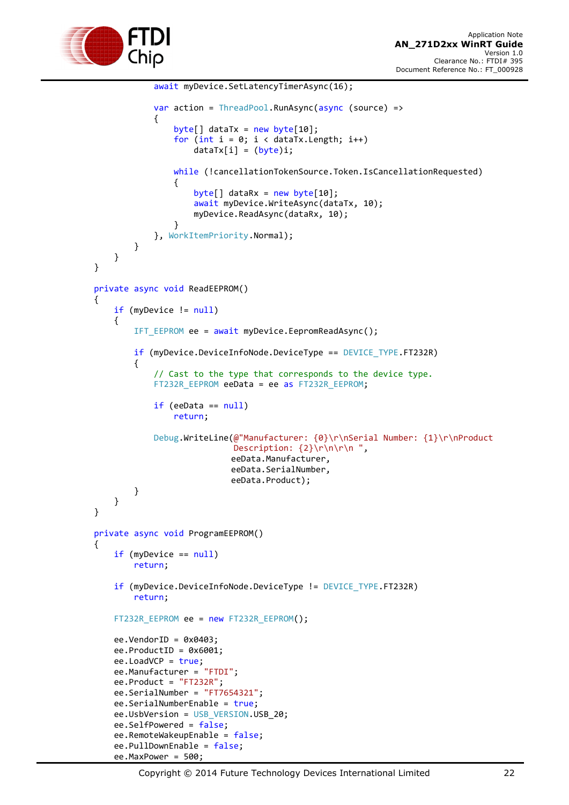

```
 await myDevice.SetLatencyTimerAsync(16);
                      var action = ThreadPool.RunAsync(async (source) =>
\{byte[] dataTx = new byte[10];for (int i = 0; i < dataTx.Length; i++)dataTx[i] = (byte)i; while (!cancellationTokenSource.Token.IsCancellationRequested)
\{byte[] dataRx = new byte[10]; await myDevice.WriteAsync(dataTx, 10);
                                 myDevice.ReadAsync(dataRx, 10);
 }
                       }, WorkItemPriority.Normal);
 }
 }
         }
         private async void ReadEEPROM()
\overline{\mathcal{L}} if (myDevice != null)
\{IFT EEPROM ee = await myDevice.EepromReadAsync();
                   if (myDevice.DeviceInfoNode.DeviceType == DEVICE_TYPE.FT232R)
\overline{a} ( \overline{a} ) and \overline{a} ( \overline{a} ) and \overline{a} ( \overline{a} ) and \overline{a} ( \overline{a} ) and \overline{a} ( \overline{a} ) and \overline{a} ( \overline{a} ) and \overline{a} ( \overline{a} ) and \overline{a} ( \overline{a} ) and \overline{a} ( \ // Cast to the type that corresponds to the device type.
                      FT232R EEPROM eeData = ee as FT232R EEPROM;
                       if (eeData == null)
                            return;
                       Debug.WriteLine(@"Manufacturer: {0}\r\nSerial Number: {1}\r\nProduct 
                                         Description: {2}\r\n\r\n ",
                                         eeData.Manufacturer, 
                                        eeData.SerialNumber, 
                                        eeData.Product);
 }
 }
         }
         private async void ProgramEEPROM()
\overline{\mathcal{L}} if (myDevice == null)
                   return;
              if (myDevice.DeviceInfoNode.DeviceType != DEVICE_TYPE.FT232R)
                   return;
             FT232R EEPROM ee = new FT232R EEPROM();
             ee.VendorID = 0x0403;ee.ProductID = 0x6001;ee.LoadVCP = true;
              ee.Manufacturer = "FTDI";
              ee.Product = "FT232R";
              ee.SerialNumber = "FT7654321";
             ee.SerialNumberEnable = true;
              ee.UsbVersion = USB_VERSION.USB_20;
              ee.SelfPowered = false;
              ee.RemoteWakeupEnable = false;
              ee.PullDownEnable = false;
```
ee.MaxPower = 500;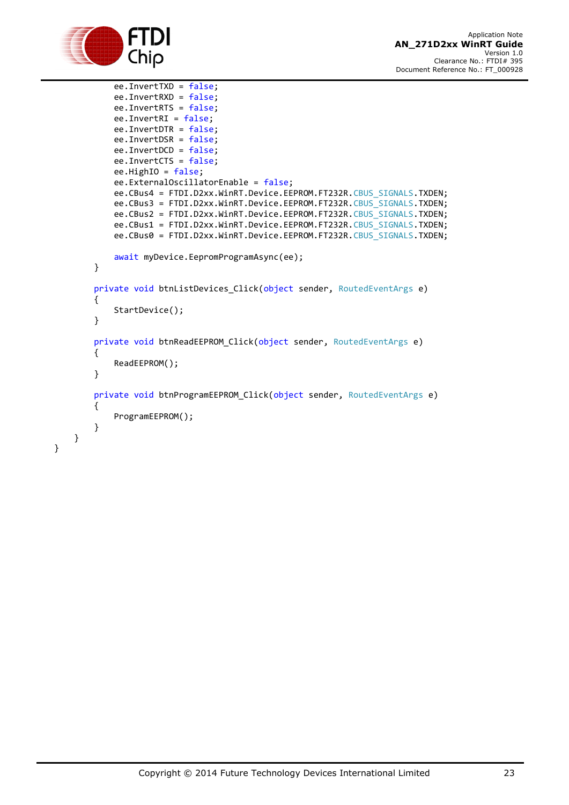

}

}

```
 ee.InvertTXD = false;
     ee.InvertRXD = false;
     ee.InvertRTS = false;
     ee.InvertRI = false;
     ee.InvertDTR = false;
     ee.InvertDSR = false;
     ee.InvertDCD = false;
     ee.InvertCTS = false;
     ee.HighIO = false;
     ee.ExternalOscillatorEnable = false;
     ee.CBus4 = FTDI.D2xx.WinRT.Device.EEPROM.FT232R.CBUS_SIGNALS.TXDEN;
     ee.CBus3 = FTDI.D2xx.WinRT.Device.EEPROM.FT232R.CBUS_SIGNALS.TXDEN;
    ee.CBus2 = FTDI.D2xx.WinRT.Device.EEPROM.FT232R.CBUS SIGNALS.TXDEN;
    ee.CBus1 = FTDI.D2xx.WinRT.Device.EEPROM.FT232R.CBUS SIGNALS.TXDEN;
     ee.CBus0 = FTDI.D2xx.WinRT.Device.EEPROM.FT232R.CBUS_SIGNALS.TXDEN;
     await myDevice.EepromProgramAsync(ee);
 }
private void btnListDevices Click(object sender, RoutedEventArgs e)
 {
     StartDevice();
 }
private void btnReadEEPROM Click(object sender, RoutedEventArgs e)
 {
     ReadEEPROM();
 }
private void btnProgramEEPROM Click(object sender, RoutedEventArgs e)
 {
     ProgramEEPROM();
 }
```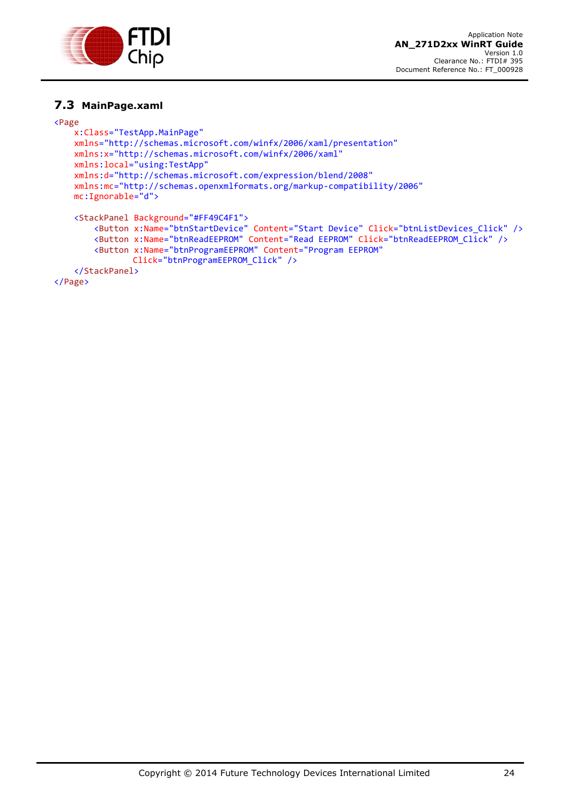

#### <span id="page-24-0"></span>**7.3 MainPage.xaml**

#### <Page

```
 x:Class="TestApp.MainPage"
 xmlns="http://schemas.microsoft.com/winfx/2006/xaml/presentation"
 xmlns:x="http://schemas.microsoft.com/winfx/2006/xaml"
 xmlns:local="using:TestApp"
 xmlns:d="http://schemas.microsoft.com/expression/blend/2008"
 xmlns:mc="http://schemas.openxmlformats.org/markup-compatibility/2006"
 mc:Ignorable="d">
 <StackPanel Background="#FF49C4F1">
     <Button x:Name="btnStartDevice" Content="Start Device" Click="btnListDevices_Click" />
     <Button x:Name="btnReadEEPROM" Content="Read EEPROM" Click="btnReadEEPROM_Click" />
     <Button x:Name="btnProgramEEPROM" Content="Program EEPROM"
             Click="btnProgramEEPROM_Click" />
 </StackPanel>
```
</Page>